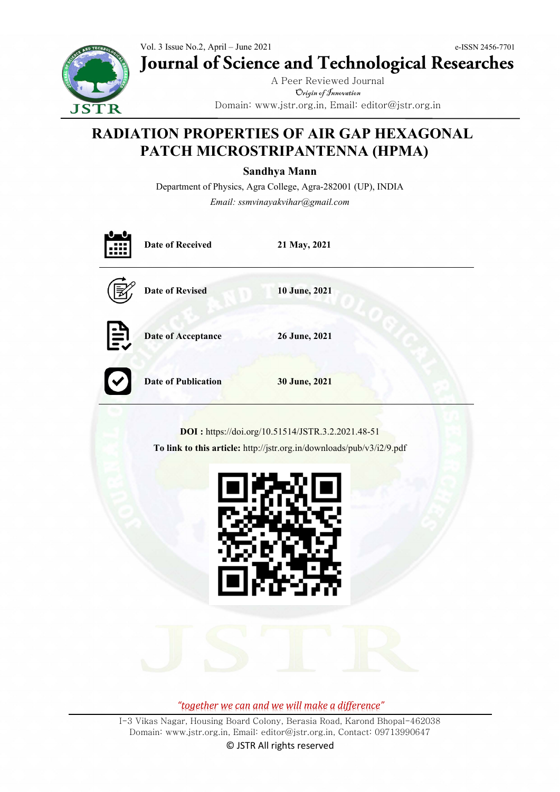

Vol. 3 Issue No.2, April – June 2021 e-ISSN 2456-7701 **Journal of Science and Technological Researches**

> A Peer Reviewed Journal Origin of Innovation Domain: www.jstr.org.in, Email: editor@jstr.org.in

# **RADIATION PROPERTIES OF AIR GAP HEXAGONAL PATCH MICROSTRIPANTENNA (HPMA)**

**Sandhya Mann**

Department of Physics, Agra College, Agra-282001 (UP), INDIA *Email: ssmvinayakvihar@gmail.com*

|                                                                                                                            | <b>Date of Received</b>    | 21 May, 2021  |  |  |  |  |
|----------------------------------------------------------------------------------------------------------------------------|----------------------------|---------------|--|--|--|--|
|                                                                                                                            | <b>Date of Revised</b>     | 10 June, 2021 |  |  |  |  |
| EV                                                                                                                         | <b>Date of Acceptance</b>  | 26 June, 2021 |  |  |  |  |
|                                                                                                                            | <b>Date of Publication</b> | 30 June, 2021 |  |  |  |  |
| DOI: https://doi.org/10.51514/JSTR.3.2.2021.48-51<br>To link to this article: http://jstr.org.in/downloads/pub/v3/i2/9.pdf |                            |               |  |  |  |  |

*"together we can and we will make a difference"*

பணன

I-3 Vikas Nagar, Housing Board Colony, Berasia Road, Karond Bhopal-462038 Domain: www.jstr.org.in, Email: editor@jstr.org.in, Contact: 09713990647

© JSTR All rights reserved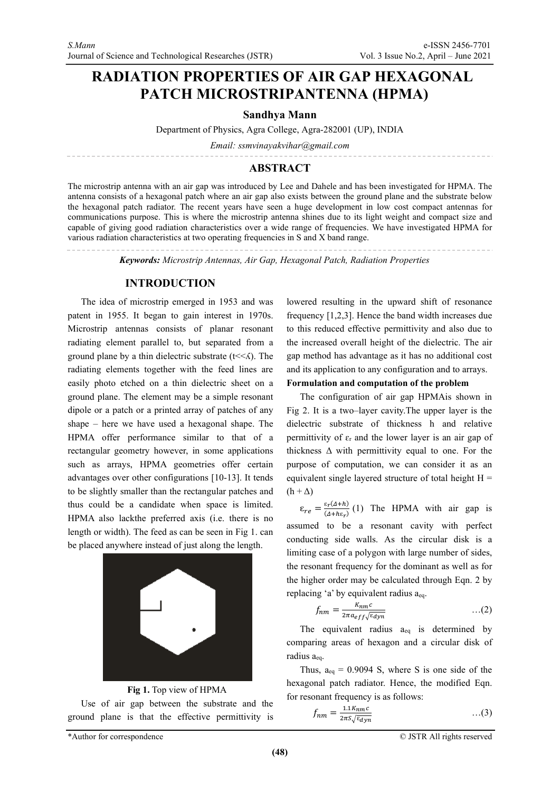# **RADIATION PROPERTIES OF AIR GAP HEXAGONAL PATCH MICROSTRIPANTENNA (HPMA)**

### **Sandhya Mann**

Department of Physics, Agra College, Agra-282001 (UP), INDIA

*Email: ssmvinayakvihar@gmail.com*

# **ABSTRACT**

The microstrip antenna with an air gap was introduced by Lee and Dahele and has been investigated for HPMA. The antenna consists of a hexagonal patch where an air gap also exists between the ground plane and the substrate below the hexagonal patch radiator. The recent years have seen a huge development in low cost compact antennas for communications purpose. This is where the microstrip antenna shines due to its light weight and compact size and capable of giving good radiation characteristics over a wide range of frequencies. We have investigated HPMA for various radiation characteristics at two operating frequencies in S and X band range.

*Keywords: Microstrip Antennas, Air Gap, Hexagonal Patch, Radiation Properties*

## **INTRODUCTION**

The idea of microstrip emerged in 1953 and was patent in 1955. It began to gain interest in 1970s. Microstrip antennas consists of planar resonant radiating element parallel to, but separated from a ground plane by a thin dielectric substrate  $(t \leq \land)$ . The radiating elements together with the feed lines are easily photo etched on a thin dielectric sheet on a ground plane. The element may be a simple resonant dipole or a patch or a printed array of patches of any shape – here we have used a hexagonal shape. The HPMA offer performance similar to that of a rectangular geometry however, in some applications such as arrays, HPMA geometries offer certain advantages over other configurations [10-13]. It tends to be slightly smaller than the rectangular patches and thus could be a candidate when space is limited. HPMA also lackthe preferred axis (i.e. there is no length or width). The feed as can be seen in Fig 1. can be placed anywhere instead of just along the length.



**Fig 1.** Top view of HPMA

Use of air gap between the substrate and the ground plane is that the effective permittivity is lowered resulting in the upward shift of resonance frequency [1,2,3]. Hence the band width increases due to this reduced effective permittivity and also due to the increased overall height of the dielectric. The air gap method has advantage as it has no additional cost and its application to any configuration and to arrays.

#### **Formulation and computation of the problem**

The configuration of air gap HPMAis shown in Fig 2. It is a two–layer cavity.The upper layer is the dielectric substrate of thickness h and relative permittivity of  $\varepsilon_r$  and the lower layer is an air gap of thickness  $\Delta$  with permittivity equal to one. For the purpose of computation, we can consider it as an equivalent single layered structure of total height  $H =$  $(h + \Delta)$ 

 $\varepsilon_{re} = \frac{\varepsilon_r (A + h)}{(A + h \varepsilon_r)}$  (1) The HPMA with air gap is assumed to be a resonant cavity with perfect conducting side walls. As the circular disk is a limiting case of a polygon with large number of sides, the resonant frequency for the dominant as well as for the higher order may be calculated through Eqn. 2 by replacing 'a' by equivalent radius aeq.

$$
f_{nm} = \frac{k_{nm}c}{2\pi a_{eff}\sqrt{\epsilon_{dyn}}} \qquad ...(2)
$$

The equivalent radius  $a_{eq}$  is determined by comparing areas of hexagon and a circular disk of radius aeq.

Thus,  $a_{eq} = 0.9094$  S, where S is one side of the hexagonal patch radiator. Hence, the modified Eqn. for resonant frequency is as follows:

$$
f_{nm} = \frac{1.1K_{nm}c}{2\pi S \sqrt{\epsilon_{dyn}}} \qquad \qquad \dots (3)
$$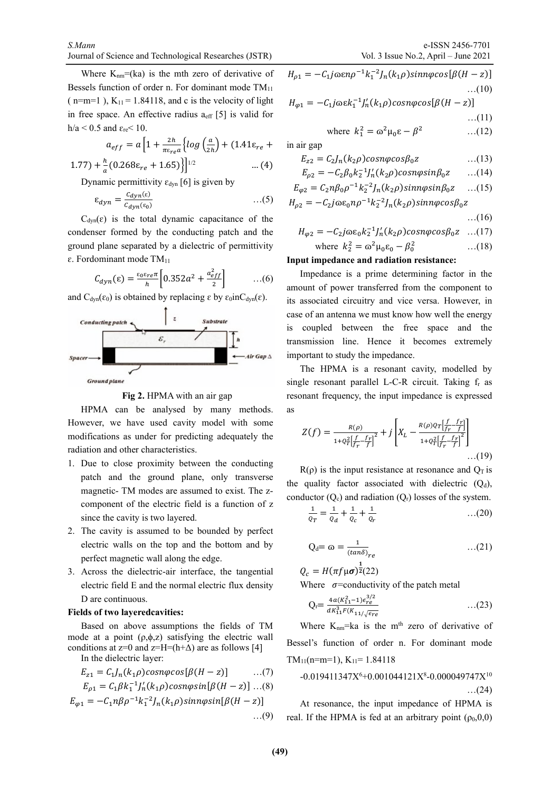Where  $K_{nm}=(ka)$  is the mth zero of derivative of Bessels function of order n. For dominant mode  $TM_{11}$ ( n=m=1 ),  $K_{11}$  = 1.84118, and c is the velocity of light in free space. An effective radius  $a_{\text{eff}}$  [5] is valid for h/a < 0.5 and  $\varepsilon_{\rm re}$  < 10.

$$
a_{eff} = a \left[ 1 + \frac{2h}{\pi \varepsilon_{ref} a} \left\{ \log \left( \frac{a}{2h} \right) + (1.41 \varepsilon_{ref} + \frac{h}{2h} \right) \right\}
$$

$$
1.77) + \frac{h}{a} (0.268 \varepsilon_{re} + 1.65) \Big\}^{1/2} \tag{4}
$$

Dynamic permittivity  $\varepsilon_{dyn}$  [6] is given by

$$
\varepsilon_{dyn} = \frac{c_{dyn}(\varepsilon)}{c_{dyn}(\varepsilon_0)} \qquad \qquad \dots(5)
$$

 $C_{dyn}(\varepsilon)$  is the total dynamic capacitance of the condenser formed by the conducting patch and the ground plane separated by a dielectric of permittivity  $\varepsilon$ . Fordominant mode TM<sub>11</sub>

$$
C_{dyn}(\varepsilon) = \frac{\varepsilon_0 \varepsilon_{ref} \pi}{h} \left[ 0.352a^2 + \frac{a_{eff}^2}{2} \right] \qquad \dots (6)
$$

and  $C_{dyn}(\epsilon_0)$  is obtained by replacing  $\epsilon$  by  $\epsilon_0$ in $C_{dyn}(\epsilon)$ .



**Fig 2.** HPMA with an air gap

HPMA can be analysed by many methods. However, we have used cavity model with some modifications as under for predicting adequately the radiation and other characteristics.

- 1. Due to close proximity between the conducting patch and the ground plane, only transverse magnetic- TM modes are assumed to exist. The zcomponent of the electric field is a function of z since the cavity is two layered.
- 2. The cavity is assumed to be bounded by perfect electric walls on the top and the bottom and by perfect magnetic wall along the edge.
- 3. Across the dielectric-air interface, the tangential electric field E and the normal electric flux density D are continuous.

#### **Fields of two layeredcavities:**

Based on above assumptions the fields of TM mode at a point  $(\rho, \phi, z)$  satisfying the electric wall conditions at  $z=0$  and  $z=H=(h+\Delta)$  are as follows [4] In the dielectric la

In the dielectric layer:\n
$$
\frac{1}{2} \times \frac{1}{2} = \frac{1}{2} \times \frac{1}{2} = \frac{1}{2} \times \frac{1}{2} = \frac{1}{2} \times \frac{1}{2} = \frac{1}{2} \times \frac{1}{2} = \frac{1}{2} \times \frac{1}{2} = \frac{1}{2} \times \frac{1}{2} = \frac{1}{2} \times \frac{1}{2} = \frac{1}{2} \times \frac{1}{2} = \frac{1}{2} \times \frac{1}{2} = \frac{1}{2} \times \frac{1}{2} = \frac{1}{2} \times \frac{1}{2} = \frac{1}{2} \times \frac{1}{2} = \frac{1}{2} \times \frac{1}{2} = \frac{1}{2} \times \frac{1}{2} = \frac{1}{2} \times \frac{1}{2} = \frac{1}{2} \times \frac{1}{2} = \frac{1}{2} \times \frac{1}{2} = \frac{1}{2} \times \frac{1}{2} = \frac{1}{2} \times \frac{1}{2} = \frac{1}{2} \times \frac{1}{2} = \frac{1}{2} \times \frac{1}{2} = \frac{1}{2} \times \frac{1}{2} = \frac{1}{2} \times \frac{1}{2} = \frac{1}{2} \times \frac{1}{2} = \frac{1}{2} \times \frac{1}{2} = \frac{1}{2} \times \frac{1}{2} = \frac{1}{2} \times \frac{1}{2} = \frac{1}{2} \times \frac{1}{2} = \frac{1}{2} \times \frac{1}{2} = \frac{1}{2} \times \frac{1}{2} = \frac{1}{2} \times \frac{1}{2} = \frac{1}{2} \times \frac{1}{2} = \frac{1}{2} \times \frac{1}{2} = \frac{1}{2} \times \frac{1}{2} = \frac{1}{2} \times \frac{1}{2} = \frac{1}{2} \times \frac{1}{2} = \frac{1}{2} \times \frac{1}{2} = \frac{1}{2} \times \frac{1}{2} = \frac{1}{2} \times \frac{1}{2} = \frac{1}{2} \times \frac{1}{2} = \frac{1}{2} \times \frac{1}{2} = \frac{1}{2} \times \frac{1}{2} = \frac{1}{2} \times \frac{1}{2} = \frac{1}{2} \
$$

$$
E_{z1} = C_1 J_n(k_1 \rho) \cos n \varphi \cos [\beta (H - z)] \qquad ...(7)
$$
  

$$
E = C_1 \rho L^{-1} L^{\prime} (L - z) \cos m \varphi \sin [\beta (H - z)] \qquad (8)
$$

$$
E_{\rho 1} = C_1 \beta k_1^{-1} J_n'(k_1 \rho) \cos n \varphi \sin [\beta (H - z)] \dots (8)
$$

$$
E_{\varphi 1} = -C_1 n \beta \rho^{-1} k_1^{-2} J_n(k_1 \rho) \sin n \varphi \sin[\beta(H - z)]
$$
  
...(9)

$$
H_{\rho 1} = -C_1 j \alpha \varepsilon n \rho^{-1} k_1^{-2} J_n(k_1 \rho) \sin n \varphi \cos[\beta(H - z)]
$$
  
...(10)

$$
H_{\varphi 1} = -C_1 j \omega \varepsilon k_1^{-1} J_n'(k_1 \rho) \cos n \varphi \cos [\beta (H - z)] \dots (11)
$$

where 1 <sup>2</sup> = ɷ<sup>2</sup>µ0ɛ − <sup>2</sup> …(12)

in air gap

$$
E_{z2} = C_2 J_n(k_2 \rho) \cos n \varphi \cos \beta_0 z \qquad \qquad \dots (13)
$$

$$
E_{\rho 2} = -C_2 \beta_0 k_2^{-1} J_n'(k_2 \rho) \cos n \varphi \sin \beta_0 z \qquad \dots (14)
$$

$$
E_{\varphi 2} = C_2 n \beta_0 \rho^{-1} k_2^{-2} J_n(k_2 \rho) \sin n \varphi \sin \beta_0 z \quad ...(15)
$$

$$
H_{\rho 2} = -C_2 j \omega \varepsilon_0 n \rho^{-1} k_2^{-2} J_n(k_2 \rho) \sin n \varphi \cos \beta_0 z
$$

$$
...(16)
$$

$$
H_{\varphi 2} = -C_2 j \omega \varepsilon_0 k_2^{-1} J_n'(k_2 \rho) \cos n \varphi \cos \beta_0 z \quad ...(17)
$$

where  $k_2^2 = \omega^2 \mu_0 \varepsilon_0 - \beta_0^2$  $...(18)$ 

#### **Input impedance and radiation resistance:**

Impedance is a prime determining factor in the amount of power transferred from the component to its associated circuitry and vice versa. However, in case of an antenna we must know how well the energy is coupled between the free space and the transmission line. Hence it becomes extremely important to study the impedance.

The HPMA is a resonant cavity, modelled by single resonant parallel L-C-R circuit. Taking  $f_r$  as resonant frequency, the input impedance is expressed as

$$
Z(f) = \frac{R(\rho)}{1 + Q_T^2 \left[\frac{f}{f_T} - \frac{f_T}{f}\right]^2} + j \left[ X_L - \frac{R(\rho)Q_T \left[\frac{f}{f_T} - \frac{f_T}{f}\right]}{1 + Q_T^2 \left[\frac{f}{f_T} - \frac{f_T}{f}\right]^2} \right] \dots (19)
$$

 $R(\rho)$  is the input resistance at resonance and  $Q_T$  is the quality factor associated with dielectric  $(Q_d)$ , conductor  $(Q_c)$  and radiation  $(Q_r)$  losses of the system.

$$
\frac{1}{\rho_T} = \frac{1}{\rho_d} + \frac{1}{\rho_c} + \frac{1}{\rho_r} \tag{20}
$$

$$
Q_d = \omega = \frac{1}{(tan \delta)}_{re}
$$
...(21)

$$
Q_c = H(\pi f \mu \sigma)^{\frac{1}{2}}(22)
$$

Where  $\sigma$ =conductivity of the patch metal

$$
Q_{r} = \frac{4a(K_{11}^{2} - 1)\epsilon_{re}^{3/2}}{dK_{11}^{3}F(K_{11}/\sqrt{\epsilon_{re}})}
$$
...(23)

Where  $K_{nm}$ =ka is the m<sup>th</sup> zero of derivative of Bessel's function of order n. For dominant mode  $TM_{11}(n=m=1)$ ,  $K_{11}=1.84118$ 

$$
\begin{aligned} -0.019411347X^6 + 0.001044121X^8 - 0.000049747X^{10} \\ \dots (24) \end{aligned}
$$

At resonance, the input impedance of HPMA is real. If the HPMA is fed at an arbitrary point  $(\rho_0, 0, 0)$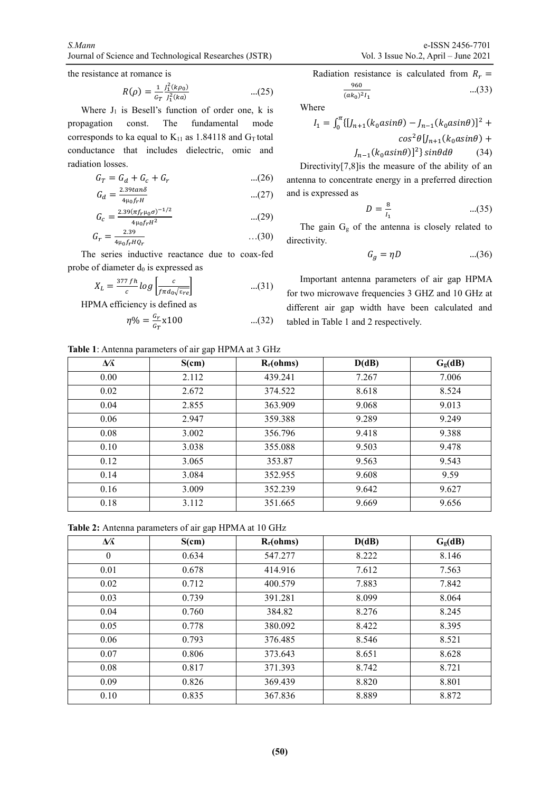the resistance at romance is

$$
R(\rho) = \frac{1}{c_T} \frac{J_1^2(k\rho_0)}{J_1^2(ka)} \qquad \qquad \dots (25)
$$

Where  $J_1$  is Besell's function of order one, k is propagation const. The fundamental mode corresponds to ka equal to  $K_{11}$  as 1.84118 and  $G_T$  total conductance that includes dielectric, omic and radiation losses.

$$
G_T = G_d + G_c + G_r
$$
...(26)  

$$
G = \frac{2.39 \tan \delta}{2.39 \tan \delta}
$$

$$
G_d = \frac{2.39 \tan \delta}{4 \mu_0 f_r H} \qquad ...(27)
$$

$$
G_c = \frac{2.39(\pi f_r \mu_0 \sigma)^{-1/2}}{4\mu_0 f_r H^2} \tag{29}
$$

$$
G_r = \frac{2.39}{4\mu_0 f_r H Q_r} \qquad \qquad \dots (30)
$$

The series inductive reactance due to coax-fed probe of diameter  $d_0$  is expressed as

$$
X_L = \frac{377 \, fh}{c} \log \left[ \frac{c}{f \pi d_0 \sqrt{\varepsilon_{re}}} \right] \tag{31}
$$

HPMA efficiency is defined as

$$
\eta\% = \frac{G_r}{G_T} \times 100 \tag{32}
$$

Radio measure is calculated from 
$$
R_r = \frac{960}{(ak_0)^2 I_1}
$$

\n...(33)

Where

$$
I_1 = \int_0^{\pi} {\left[ J_{n+1}(k_0 a \sin \theta) - J_{n-1}(k_0 a \sin \theta) \right]}^2 + \cos^2 \theta [J_{n+1}(k_0 a \sin \theta) +
$$
  

$$
I_{n+1}(k_0 a \sin \theta) +
$$
  

$$
I_{n+1}(k_0 a \sin \theta) +
$$
  

$$
I_{n+1}(k_0 a \sin \theta) +
$$
  

$$
I_{n+1}(k_0 a \sin \theta) +
$$
  

$$
I_{n+1}(k_0 a \sin \theta) +
$$
  

$$
I_{n+1}(k_0 a \sin \theta) +
$$
  

$$
I_{n+1}(k_0 a \sin \theta) +
$$
  

$$
I_{n+1}(k_0 a \sin \theta) +
$$

$$
J_{n-1}(k_0 a \sin \theta)^2 \sin \theta d\theta \qquad (34)
$$

Directivity[7,8]is the measure of the ability of an antenna to concentrate energy in a preferred direction and is expressed as

$$
D = \frac{8}{I_1} \tag{35}
$$

The gain  $G_g$  of the antenna is closely related to directivity.

$$
G_g = \eta D \tag{36}
$$

Important antenna parameters of air gap HPMA for two microwave frequencies 3 GHZ and 10 GHz at different air gap width have been calculated and tabled in Table 1 and 2 respectively.

**Table 1**: Antenna parameters of air gap HPMA at 3 GHz

| $\Delta\!K$ | S(cm) | $R_r(ohms)$ | D(dB) | G <sub>g</sub> (dB) |
|-------------|-------|-------------|-------|---------------------|
| 0.00        | 2.112 | 439.241     | 7.267 | 7.006               |
| 0.02        | 2.672 | 374.522     | 8.618 | 8.524               |
| 0.04        | 2.855 | 363.909     | 9.068 | 9.013               |
| 0.06        | 2.947 | 359.388     | 9.289 | 9.249               |
| 0.08        | 3.002 | 356.796     | 9.418 | 9.388               |
| 0.10        | 3.038 | 355.088     | 9.503 | 9.478               |
| 0.12        | 3.065 | 353.87      | 9.563 | 9.543               |
| 0.14        | 3.084 | 352.955     | 9.608 | 9.59                |
| 0.16        | 3.009 | 352.239     | 9.642 | 9.627               |
| 0.18        | 3.112 | 351.665     | 9.669 | 9.656               |

**Table 2:** Antenna parameters of air gap HPMA at 10 GHz

| $\Delta f$ | S(cm) | $R_r(ohms)$ | D(dB) | G <sub>g</sub> (dB) |
|------------|-------|-------------|-------|---------------------|
| $\theta$   | 0.634 | 547.277     | 8.222 | 8.146               |
| 0.01       | 0.678 | 414.916     | 7.612 | 7.563               |
| 0.02       | 0.712 | 400.579     | 7.883 | 7.842               |
| 0.03       | 0.739 | 391.281     | 8.099 | 8.064               |
| 0.04       | 0.760 | 384.82      | 8.276 | 8.245               |
| 0.05       | 0.778 | 380.092     | 8.422 | 8.395               |
| 0.06       | 0.793 | 376.485     | 8.546 | 8.521               |
| 0.07       | 0.806 | 373.643     | 8.651 | 8.628               |
| 0.08       | 0.817 | 371.393     | 8.742 | 8.721               |
| 0.09       | 0.826 | 369.439     | 8.820 | 8.801               |
| 0.10       | 0.835 | 367.836     | 8.889 | 8.872               |